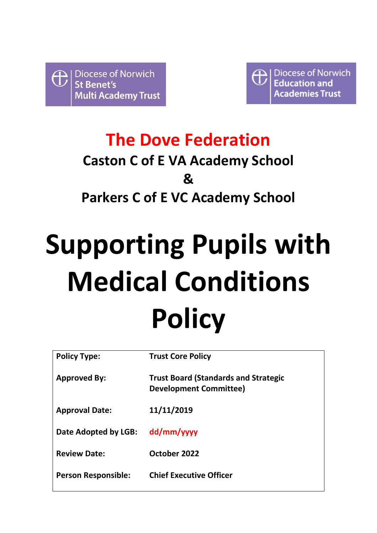

Diocese of Norwich  $\bigoplus$ **Education and cademies Trust** 

## **The Dove Federation Caston C of E VA Academy School & Parkers C of E VC Academy School**

# **Supporting Pupils with Medical Conditions Policy**

| <b>Policy Type:</b>        | <b>Trust Core Policy</b>                                                     |
|----------------------------|------------------------------------------------------------------------------|
| <b>Approved By:</b>        | <b>Trust Board (Standards and Strategic</b><br><b>Development Committee)</b> |
| <b>Approval Date:</b>      | 11/11/2019                                                                   |
| Date Adopted by LGB:       | dd/mm/yyyy                                                                   |
| <b>Review Date:</b>        | October 2022                                                                 |
| <b>Person Responsible:</b> | <b>Chief Executive Officer</b>                                               |
|                            |                                                                              |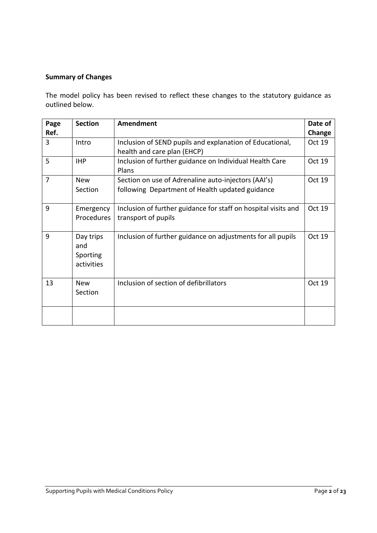#### **Summary of Changes**

The model policy has been revised to reflect these changes to the statutory guidance as outlined below.

| Page           | <b>Section</b>                             | Amendment                                                                                              | Date of |
|----------------|--------------------------------------------|--------------------------------------------------------------------------------------------------------|---------|
| Ref.           |                                            |                                                                                                        | Change  |
| 3              | Intro                                      | Inclusion of SEND pupils and explanation of Educational,<br>health and care plan (EHCP)                | Oct 19  |
| 5              | <b>IHP</b>                                 | Inclusion of further guidance on Individual Health Care<br>Plans                                       | Oct 19  |
| $\overline{7}$ | <b>New</b><br>Section                      | Section on use of Adrenaline auto-injectors (AAI's)<br>following Department of Health updated guidance | Oct 19  |
| 9              | Emergency<br>Procedures                    | Inclusion of further guidance for staff on hospital visits and<br>transport of pupils                  | Oct 19  |
| 9              | Day trips<br>and<br>Sporting<br>activities | Inclusion of further guidance on adjustments for all pupils                                            | Oct 19  |
| 13             | <b>New</b><br>Section                      | Inclusion of section of defibrillators                                                                 | Oct 19  |
|                |                                            |                                                                                                        |         |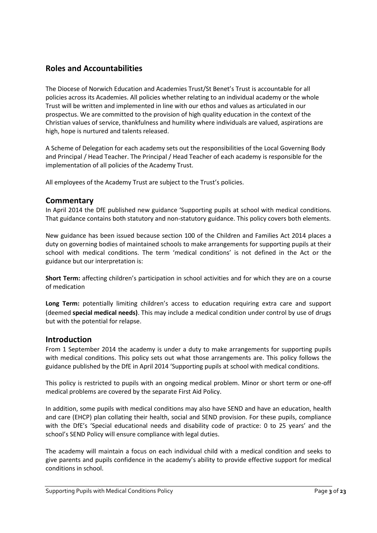#### **Roles and Accountabilities**

The Diocese of Norwich Education and Academies Trust/St Benet's Trust is accountable for all policies across its Academies. All policies whether relating to an individual academy or the whole Trust will be written and implemented in line with our ethos and values as articulated in our prospectus. We are committed to the provision of high quality education in the context of the Christian values of service, thankfulness and humility where individuals are valued, aspirations are high, hope is nurtured and talents released.

A Scheme of Delegation for each academy sets out the responsibilities of the Local Governing Body and Principal / Head Teacher. The Principal / Head Teacher of each academy is responsible for the implementation of all policies of the Academy Trust.

All employees of the Academy Trust are subject to the Trust's policies.

#### **Commentary**

In April 2014 the DfE published new guidance 'Supporting pupils at school with medical conditions. That guidance contains both statutory and non-statutory guidance. This policy covers both elements.

New guidance has been issued because section 100 of the Children and Families Act 2014 places a duty on governing bodies of maintained schools to make arrangements for supporting pupils at their school with medical conditions. The term 'medical conditions' is not defined in the Act or the guidance but our interpretation is:

**Short Term:** affecting children's participation in school activities and for which they are on a course of medication

**Long Term:** potentially limiting children's access to education requiring extra care and support (deemed **special medical needs)**. This may include a medical condition under control by use of drugs but with the potential for relapse.

#### **Introduction**

From 1 September 2014 the academy is under a duty to make arrangements for supporting pupils with medical conditions. This policy sets out what those arrangements are. This policy follows the guidance published by the DfE in April 2014 'Supporting pupils at school with medical conditions.

This policy is restricted to pupils with an ongoing medical problem. Minor or short term or one-off medical problems are covered by the separate First Aid Policy.

In addition, some pupils with medical conditions may also have SEND and have an education, health and care (EHCP) plan collating their health, social and SEND provision. For these pupils, compliance with the DfE's 'Special educational needs and disability code of practice: 0 to 25 years' and the school's SEND Policy will ensure compliance with legal duties.

The academy will maintain a focus on each individual child with a medical condition and seeks to give parents and pupils confidence in the academy's ability to provide effective support for medical conditions in school.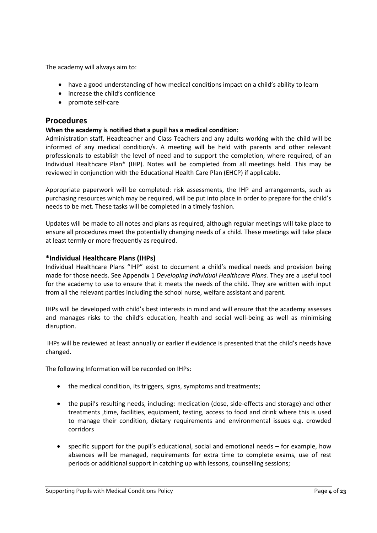The academy will always aim to:

- have a good understanding of how medical conditions impact on a child's ability to learn
- increase the child's confidence
- promote self-care

#### **Procedures**

#### **When the academy is notified that a pupil has a medical condition:**

Administration staff, Headteacher and Class Teachers and any adults working with the child will be informed of any medical condition/s. A meeting will be held with parents and other relevant professionals to establish the level of need and to support the completion, where required, of an Individual Healthcare Plan\* (IHP). Notes will be completed from all meetings held. This may be reviewed in conjunction with the Educational Health Care Plan (EHCP) if applicable.

Appropriate paperwork will be completed: risk assessments, the IHP and arrangements, such as purchasing resources which may be required, will be put into place in order to prepare for the child's needs to be met. These tasks will be completed in a timely fashion.

Updates will be made to all notes and plans as required, although regular meetings will take place to ensure all procedures meet the potentially changing needs of a child. These meetings will take place at least termly or more frequently as required.

#### **\*Individual Healthcare Plans (IHPs)**

Individual Healthcare Plans "IHP" exist to document a child's medical needs and provision being made for those needs. See Appendix 1 *Developing Individual Healthcare Plans.* They are a useful tool for the academy to use to ensure that it meets the needs of the child. They are written with input from all the relevant parties including the school nurse, welfare assistant and parent.

IHPs will be developed with child's best interests in mind and will ensure that the academy assesses and manages risks to the child's education, health and social well-being as well as minimising disruption.

IHPs will be reviewed at least annually or earlier if evidence is presented that the child's needs have changed.

The following Information will be recorded on IHPs:

- the medical condition, its triggers, signs, symptoms and treatments;
- the pupil's resulting needs, including: medication (dose, side-effects and storage) and other treatments ,time, facilities, equipment, testing, access to food and drink where this is used to manage their condition, dietary requirements and environmental issues e.g. crowded corridors
- specific support for the pupil's educational, social and emotional needs for example, how absences will be managed, requirements for extra time to complete exams, use of rest periods or additional support in catching up with lessons, counselling sessions;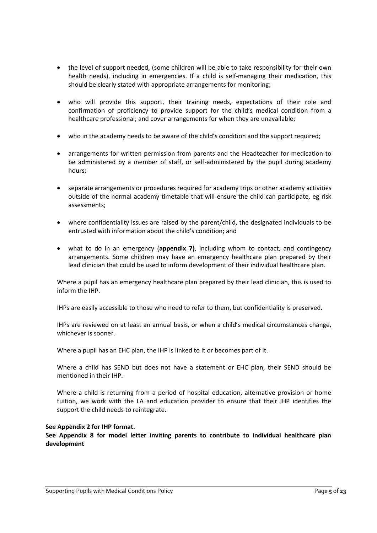- the level of support needed, (some children will be able to take responsibility for their own health needs), including in emergencies. If a child is self-managing their medication, this should be clearly stated with appropriate arrangements for monitoring;
- who will provide this support, their training needs, expectations of their role and confirmation of proficiency to provide support for the child's medical condition from a healthcare professional; and cover arrangements for when they are unavailable;
- who in the academy needs to be aware of the child's condition and the support required;
- arrangements for written permission from parents and the Headteacher for medication to be administered by a member of staff, or self-administered by the pupil during academy hours;
- separate arrangements or procedures required for academy trips or other academy activities outside of the normal academy timetable that will ensure the child can participate, eg risk assessments;
- where confidentiality issues are raised by the parent/child, the designated individuals to be entrusted with information about the child's condition; and
- what to do in an emergency (**appendix 7)**, including whom to contact, and contingency arrangements. Some children may have an emergency healthcare plan prepared by their lead clinician that could be used to inform development of their individual healthcare plan.

Where a pupil has an emergency healthcare plan prepared by their lead clinician, this is used to inform the IHP.

IHPs are easily accessible to those who need to refer to them, but confidentiality is preserved.

IHPs are reviewed on at least an annual basis, or when a child's medical circumstances change, whichever is sooner.

Where a pupil has an EHC plan, the IHP is linked to it or becomes part of it.

Where a child has SEND but does not have a statement or EHC plan, their SEND should be mentioned in their IHP.

Where a child is returning from a period of hospital education, alternative provision or home tuition, we work with the LA and education provider to ensure that their IHP identifies the support the child needs to reintegrate.

#### **See Appendix 2 for IHP format.**

**See Appendix 8 for model letter inviting parents to contribute to individual healthcare plan development**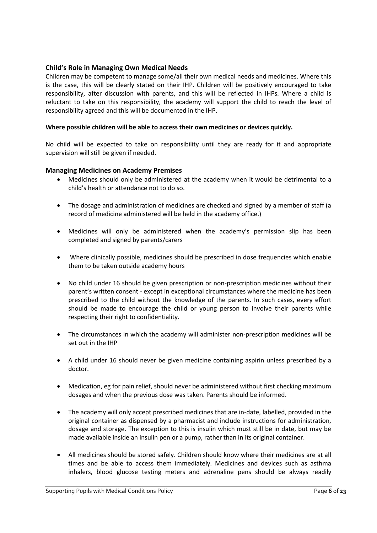#### **Child's Role in Managing Own Medical Needs**

Children may be competent to manage some/all their own medical needs and medicines. Where this is the case, this will be clearly stated on their IHP. Children will be positively encouraged to take responsibility, after discussion with parents, and this will be reflected in IHPs. Where a child is reluctant to take on this responsibility, the academy will support the child to reach the level of responsibility agreed and this will be documented in the IHP.

#### **Where possible children will be able to access their own medicines or devices quickly.**

No child will be expected to take on responsibility until they are ready for it and appropriate supervision will still be given if needed.

#### **Managing Medicines on Academy Premises**

- Medicines should only be administered at the academy when it would be detrimental to a child's health or attendance not to do so.
- The dosage and administration of medicines are checked and signed by a member of staff (a record of medicine administered will be held in the academy office.)
- Medicines will only be administered when the academy's permission slip has been completed and signed by parents/carers
- Where clinically possible, medicines should be prescribed in dose frequencies which enable them to be taken outside academy hours
- No child under 16 should be given prescription or non-prescription medicines without their parent's written consent - except in exceptional circumstances where the medicine has been prescribed to the child without the knowledge of the parents. In such cases, every effort should be made to encourage the child or young person to involve their parents while respecting their right to confidentiality.
- The circumstances in which the academy will administer non-prescription medicines will be set out in the IHP
- A child under 16 should never be given medicine containing aspirin unless prescribed by a doctor.
- Medication, eg for pain relief, should never be administered without first checking maximum dosages and when the previous dose was taken. Parents should be informed.
- The academy will only accept prescribed medicines that are in-date, labelled, provided in the original container as dispensed by a pharmacist and include instructions for administration, dosage and storage. The exception to this is insulin which must still be in date, but may be made available inside an insulin pen or a pump, rather than in its original container.
- All medicines should be stored safely. Children should know where their medicines are at all times and be able to access them immediately. Medicines and devices such as asthma inhalers, blood glucose testing meters and adrenaline pens should be always readily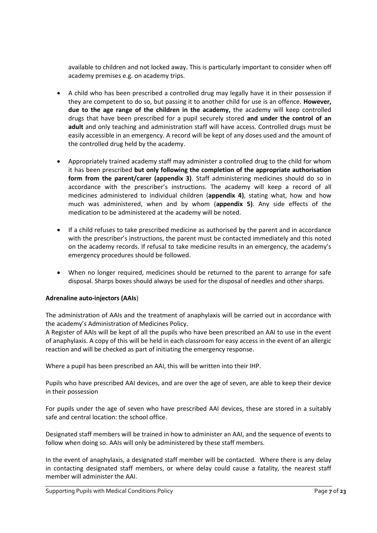available to children and not locked away. This is particularly important to consider when off academy premises e.g. on academy trips.

- A child who has been prescribed a controlled drug may legally have it in their possession if they are competent to do so, but passing it to another child for use is an offence. **However, due to the age range of the children in the academy,** the academy will keep controlled drugs that have been prescribed for a pupil securely stored **and under the control of an adult** and only teaching and administration staff will have access. Controlled drugs must be easily accessible in an emergency. A record will be kept of any doses used and the amount of the controlled drug held by the academy.
- Appropriately trained academy staff may administer a controlled drug to the child for whom it has been prescribed **but only following the completion of the appropriate authorisation form from the parent/carer (appendix 3)**. Staff administering medicines should do so in accordance with the prescriber's instructions. The academy will keep a record of all medicines administered to individual children (**appendix 4)**, stating what, how and how much was administered, when and by whom (**appendix 5)**. Any side effects of the medication to be administered at the academy will be noted.
- If a child refuses to take prescribed medicine as authorised by the parent and in accordance with the prescriber's instructions, the parent must be contacted immediately and this noted on the academy records. If refusal to take medicine results in an emergency, the academy's emergency procedures should be followed.
- When no longer required, medicines should be returned to the parent to arrange for safe disposal. Sharps boxes should always be used for the disposal of needles and other sharps.

#### **Adrenaline auto-injectors (AAIs**)

The administration of AAIs and the treatment of anaphylaxis will be carried out in accordance with the academy's Administration of Medicines Policy.

A Register of AAIs will be kept of all the pupils who have been prescribed an AAI to use in the event of anaphylaxis. A copy of this will be held in each classroom for easy access in the event of an allergic reaction and will be checked as part of initiating the emergency response.

Where a pupil has been prescribed an AAI, this will be written into their IHP.

Pupils who have prescribed AAI devices, and are over the age of seven, are able to keep their device in their possession

For pupils under the age of seven who have prescribed AAI devices, these are stored in a suitably safe and central location: the school office.

Designated staff members will be trained in how to administer an AAI, and the sequence of events to follow when doing so. AAIs will only be administered by these staff members.

In the event of anaphylaxis, a designated staff member will be contacted. Where there is any delay in contacting designated staff members, or where delay could cause a fatality, the nearest staff member will administer the AAI.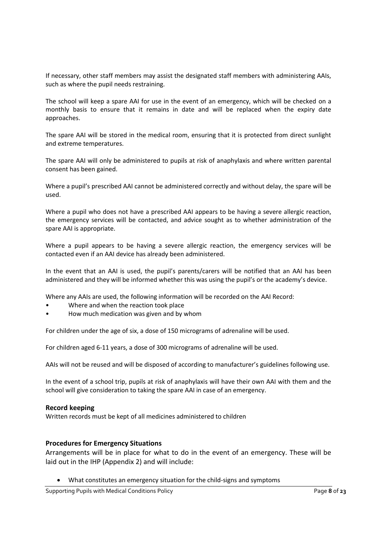If necessary, other staff members may assist the designated staff members with administering AAIs, such as where the pupil needs restraining.

The school will keep a spare AAI for use in the event of an emergency, which will be checked on a monthly basis to ensure that it remains in date and will be replaced when the expiry date approaches.

The spare AAI will be stored in the medical room, ensuring that it is protected from direct sunlight and extreme temperatures.

The spare AAI will only be administered to pupils at risk of anaphylaxis and where written parental consent has been gained.

Where a pupil's prescribed AAI cannot be administered correctly and without delay, the spare will be used.

Where a pupil who does not have a prescribed AAI appears to be having a severe allergic reaction, the emergency services will be contacted, and advice sought as to whether administration of the spare AAI is appropriate.

Where a pupil appears to be having a severe allergic reaction, the emergency services will be contacted even if an AAI device has already been administered.

In the event that an AAI is used, the pupil's parents/carers will be notified that an AAI has been administered and they will be informed whether this was using the pupil's or the academy's device.

Where any AAIs are used, the following information will be recorded on the AAI Record:

- Where and when the reaction took place
- How much medication was given and by whom

For children under the age of six, a dose of 150 micrograms of adrenaline will be used.

For children aged 6-11 years, a dose of 300 micrograms of adrenaline will be used.

AAIs will not be reused and will be disposed of according to manufacturer's guidelines following use.

In the event of a school trip, pupils at risk of anaphylaxis will have their own AAI with them and the school will give consideration to taking the spare AAI in case of an emergency.

#### **Record keeping**

Written records must be kept of all medicines administered to children

#### **Procedures for Emergency Situations**

Arrangements will be in place for what to do in the event of an emergency. These will be laid out in the IHP (Appendix 2) and will include:

What constitutes an emergency situation for the child-signs and symptoms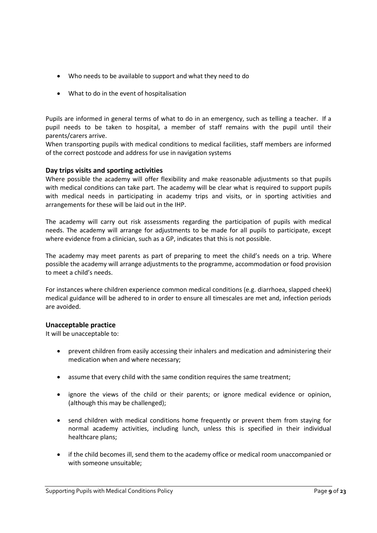- Who needs to be available to support and what they need to do
- What to do in the event of hospitalisation

Pupils are informed in general terms of what to do in an emergency, such as telling a teacher. If a pupil needs to be taken to hospital, a member of staff remains with the pupil until their parents/carers arrive.

When transporting pupils with medical conditions to medical facilities, staff members are informed of the correct postcode and address for use in navigation systems

#### **Day trips visits and sporting activities**

Where possible the academy will offer flexibility and make reasonable adjustments so that pupils with medical conditions can take part. The academy will be clear what is required to support pupils with medical needs in participating in academy trips and visits, or in sporting activities and arrangements for these will be laid out in the IHP.

The academy will carry out risk assessments regarding the participation of pupils with medical needs. The academy will arrange for adjustments to be made for all pupils to participate, except where evidence from a clinician, such as a GP, indicates that this is not possible.

The academy may meet parents as part of preparing to meet the child's needs on a trip. Where possible the academy will arrange adjustments to the programme, accommodation or food provision to meet a child's needs.

For instances where children experience common medical conditions (e.g. diarrhoea, slapped cheek) medical guidance will be adhered to in order to ensure all timescales are met and, infection periods are avoided.

#### **Unacceptable practice**

It will be unacceptable to:

- prevent children from easily accessing their inhalers and medication and administering their medication when and where necessary;
- assume that every child with the same condition requires the same treatment;
- ignore the views of the child or their parents; or ignore medical evidence or opinion, (although this may be challenged);
- send children with medical conditions home frequently or prevent them from staying for normal academy activities, including lunch, unless this is specified in their individual healthcare plans;
- if the child becomes ill, send them to the academy office or medical room unaccompanied or with someone unsuitable;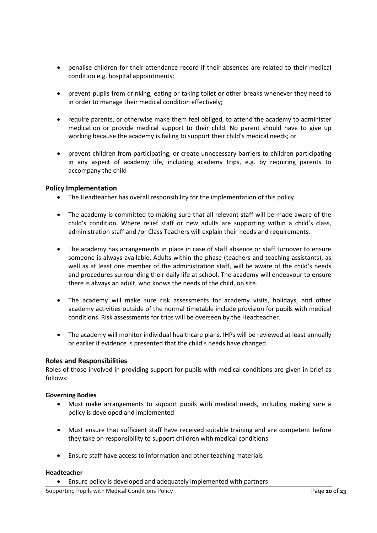- penalise children for their attendance record if their absences are related to their medical condition e.g. hospital appointments;
- prevent pupils from drinking, eating or taking toilet or other breaks whenever they need to in order to manage their medical condition effectively;
- require parents, or otherwise make them feel obliged, to attend the academy to administer medication or provide medical support to their child. No parent should have to give up working because the academy is failing to support their child's medical needs; or
- prevent children from participating, or create unnecessary barriers to children participating in any aspect of academy life, including academy trips, e.g. by requiring parents to accompany the child

#### **Policy Implementation**

- The Headteacher has overall responsibility for the implementation of this policy
- The academy is committed to making sure that all relevant staff will be made aware of the child's condition. Where relief staff or new adults are supporting within a child's class, administration staff and /or Class Teachers will explain their needs and requirements.
- The academy has arrangements in place in case of staff absence or staff turnover to ensure someone is always available. Adults within the phase (teachers and teaching assistants), as well as at least one member of the administration staff, will be aware of the child's needs and procedures surrounding their daily life at school. The academy will endeavour to ensure there is always an adult, who knows the needs of the child, on site.
- The academy will make sure risk assessments for academy visits, holidays, and other academy activities outside of the normal timetable include provision for pupils with medical conditions. Risk assessments for trips will be overseen by the Headteacher.
- The academy will monitor individual healthcare plans. IHPs will be reviewed at least annually or earlier if evidence is presented that the child's needs have changed.

#### **Roles and Responsibilities**

Roles of those involved in providing support for pupils with medical conditions are given in brief as follows:

#### **Governing Bodies**

- Must make arrangements to support pupils with medical needs, including making sure a policy is developed and implemented
- Must ensure that sufficient staff have received suitable training and are competent before they take on responsibility to support children with medical conditions
- Ensure staff have access to information and other teaching materials

#### **Headteacher**

Ensure policy is developed and adequately implemented with partners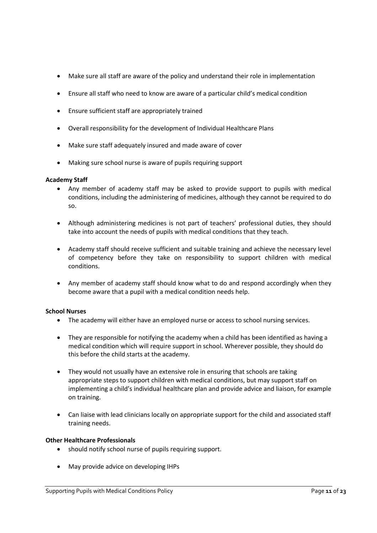- Make sure all staff are aware of the policy and understand their role in implementation
- Ensure all staff who need to know are aware of a particular child's medical condition
- Ensure sufficient staff are appropriately trained
- Overall responsibility for the development of Individual Healthcare Plans
- Make sure staff adequately insured and made aware of cover
- Making sure school nurse is aware of pupils requiring support

#### **Academy Staff**

- Any member of academy staff may be asked to provide support to pupils with medical conditions, including the administering of medicines, although they cannot be required to do so.
- Although administering medicines is not part of teachers' professional duties, they should take into account the needs of pupils with medical conditions that they teach.
- Academy staff should receive sufficient and suitable training and achieve the necessary level of competency before they take on responsibility to support children with medical conditions.
- Any member of academy staff should know what to do and respond accordingly when they become aware that a pupil with a medical condition needs help.

#### **School Nurses**

- The academy will either have an employed nurse or access to school nursing services.
- They are responsible for notifying the academy when a child has been identified as having a medical condition which will require support in school. Wherever possible, they should do this before the child starts at the academy.
- They would not usually have an extensive role in ensuring that schools are taking appropriate steps to support children with medical conditions, but may support staff on implementing a child's individual healthcare plan and provide advice and liaison, for example on training.
- Can liaise with lead clinicians locally on appropriate support for the child and associated staff training needs.

#### **Other Healthcare Professionals**

- should notify school nurse of pupils requiring support.
- May provide advice on developing IHPs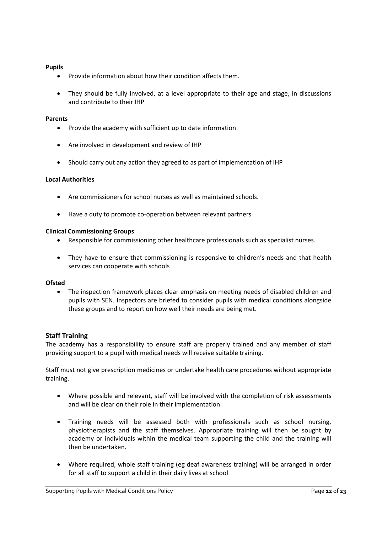#### **Pupils**

- Provide information about how their condition affects them.
- They should be fully involved, at a level appropriate to their age and stage, in discussions and contribute to their IHP

#### **Parents**

- Provide the academy with sufficient up to date information
- Are involved in development and review of IHP
- Should carry out any action they agreed to as part of implementation of IHP

#### **Local Authorities**

- Are commissioners for school nurses as well as maintained schools.
- Have a duty to promote co-operation between relevant partners

#### **Clinical Commissioning Groups**

- Responsible for commissioning other healthcare professionals such as specialist nurses.
- They have to ensure that commissioning is responsive to children's needs and that health services can cooperate with schools

#### **Ofsted**

 The inspection framework places clear emphasis on meeting needs of disabled children and pupils with SEN. Inspectors are briefed to consider pupils with medical conditions alongside these groups and to report on how well their needs are being met.

#### **Staff Training**

The academy has a responsibility to ensure staff are properly trained and any member of staff providing support to a pupil with medical needs will receive suitable training.

Staff must not give prescription medicines or undertake health care procedures without appropriate training.

- Where possible and relevant, staff will be involved with the completion of risk assessments and will be clear on their role in their implementation
- Training needs will be assessed both with professionals such as school nursing, physiotherapists and the staff themselves. Appropriate training will then be sought by academy or individuals within the medical team supporting the child and the training will then be undertaken.
- Where required, whole staff training (eg deaf awareness training) will be arranged in order for all staff to support a child in their daily lives at school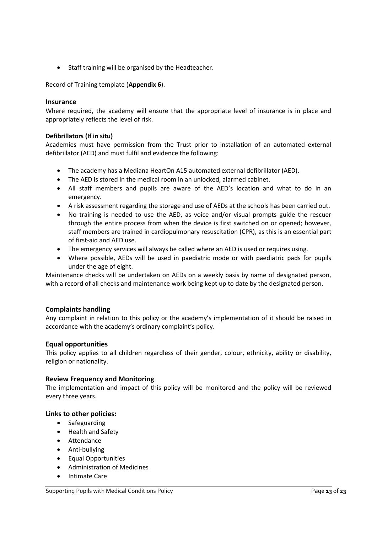• Staff training will be organised by the Headteacher.

Record of Training template (**Appendix 6**).

#### **Insurance**

Where required, the academy will ensure that the appropriate level of insurance is in place and appropriately reflects the level of risk.

#### **Defibrillators (If in situ)**

Academies must have permission from the Trust prior to installation of an automated external defibrillator (AED) and must fulfil and evidence the following:

- The academy has a Mediana HeartOn A15 automated external defibrillator (AED).
- The AED is stored in the medical room in an unlocked, alarmed cabinet.
- All staff members and pupils are aware of the AED's location and what to do in an emergency.
- A risk assessment regarding the storage and use of AEDs at the schools has been carried out.
- No training is needed to use the AED, as voice and/or visual prompts guide the rescuer through the entire process from when the device is first switched on or opened; however, staff members are trained in cardiopulmonary resuscitation (CPR), as this is an essential part of first-aid and AED use.
- The emergency services will always be called where an AED is used or requires using.
- Where possible, AEDs will be used in paediatric mode or with paediatric pads for pupils under the age of eight.

Maintenance checks will be undertaken on AEDs on a weekly basis by name of designated person, with a record of all checks and maintenance work being kept up to date by the designated person.

#### **Complaints handling**

Any complaint in relation to this policy or the academy's implementation of it should be raised in accordance with the academy's ordinary complaint's policy.

#### **Equal opportunities**

This policy applies to all children regardless of their gender, colour, ethnicity, ability or disability, religion or nationality.

#### **Review Frequency and Monitoring**

The implementation and impact of this policy will be monitored and the policy will be reviewed every three years.

#### **Links to other policies:**

- Safeguarding
- Health and Safety
- Attendance
- Anti-bullying
- Equal Opportunities
- Administration of Medicines
- Intimate Care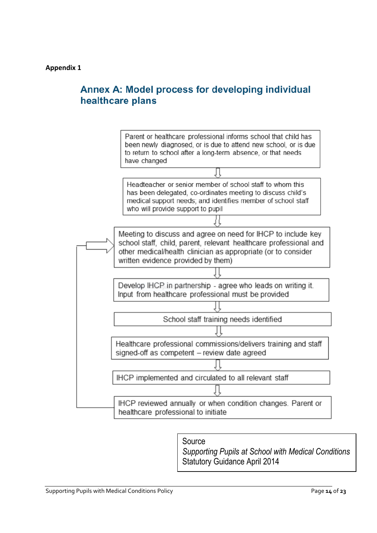## Annex A: Model process for developing individual healthcare plans



Source

*Supporting Pupils at School with Medical Conditions* Statutory Guidance April 2014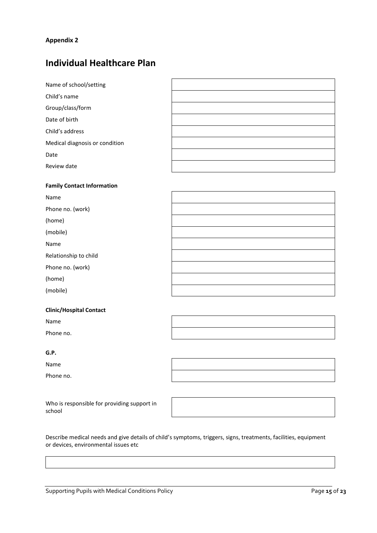## **Individual Healthcare Plan**

| Name of school/setting            |  |
|-----------------------------------|--|
| Child's name                      |  |
| Group/class/form                  |  |
| Date of birth                     |  |
| Child's address                   |  |
| Medical diagnosis or condition    |  |
| Date                              |  |
| Review date                       |  |
|                                   |  |
|                                   |  |
| <b>Family Contact Information</b> |  |
| Name                              |  |
| Phone no. (work)                  |  |
| (home)                            |  |
| (mobile)                          |  |
| Name                              |  |
| Relationship to child             |  |
| Phone no. (work)                  |  |

(mobile)

#### **Clinic/Hospital Contact**

Name

Phone no.

#### **G.P.**

Name

Phone no.

Who is responsible for providing support in school

Describe medical needs and give details of child's symptoms, triggers, signs, treatments, facilities, equipment or devices, environmental issues etc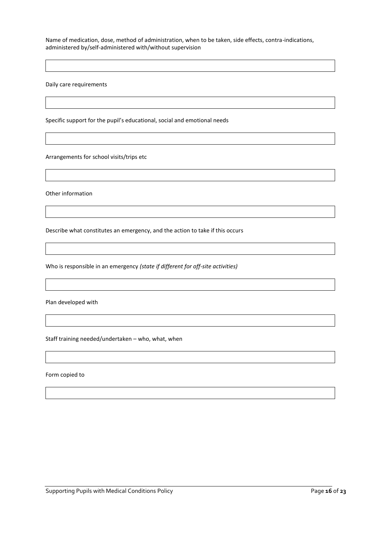Name of medication, dose, method of administration, when to be taken, side effects, contra-indications, administered by/self-administered with/without supervision

Daily care requirements

Specific support for the pupil's educational, social and emotional needs

Arrangements for school visits/trips etc

Other information

Describe what constitutes an emergency, and the action to take if this occurs

Who is responsible in an emergency *(state if different for off-site activities)*

Plan developed with

Staff training needed/undertaken – who, what, when

Form copied to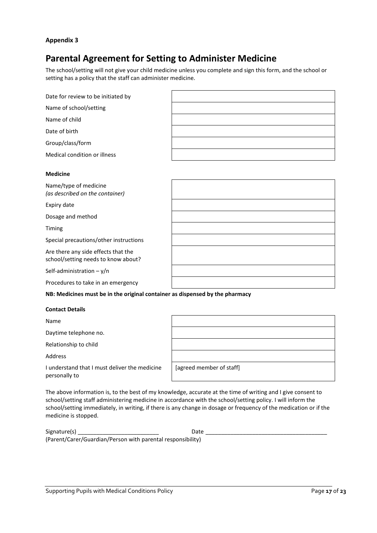## **Parental Agreement for Setting to Administer Medicine**

The school/setting will not give your child medicine unless you complete and sign this form, and the school or setting has a policy that the staff can administer medicine.

| Date for review to be initiated by                                           |  |
|------------------------------------------------------------------------------|--|
| Name of school/setting                                                       |  |
| Name of child                                                                |  |
| Date of birth                                                                |  |
| Group/class/form                                                             |  |
| Medical condition or illness                                                 |  |
| <b>Medicine</b>                                                              |  |
| Name/type of medicine<br>(as described on the container)                     |  |
| Expiry date                                                                  |  |
| Dosage and method                                                            |  |
| Timing                                                                       |  |
| Special precautions/other instructions                                       |  |
| Are there any side effects that the<br>school/setting needs to know about?   |  |
| Self-administration $-y/n$                                                   |  |
| Procedures to take in an emergency                                           |  |
| NB: Medicines must be in the original container as dispensed by the pharmacy |  |

#### **Contact Details**

Name

Daytime telephone no.

Relationship to child

Address

[agreed member of staff]

I understand that I must deliver the medicine personally to

The above information is, to the best of my knowledge, accurate at the time of writing and I give consent to school/setting staff administering medicine in accordance with the school/setting policy. I will inform the school/setting immediately, in writing, if there is any change in dosage or frequency of the medication or if the medicine is stopped.

| Signature(s)                                                | Date |  |
|-------------------------------------------------------------|------|--|
| (Parent/Carer/Guardian/Person with parental responsibility) |      |  |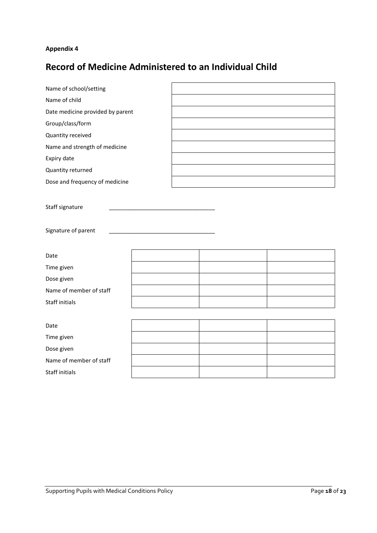## **Record of Medicine Administered to an Individual Child**

| Name of school/setting           |  |  |
|----------------------------------|--|--|
| Name of child                    |  |  |
| Date medicine provided by parent |  |  |
| Group/class/form                 |  |  |
| Quantity received                |  |  |
| Name and strength of medicine    |  |  |
| Expiry date                      |  |  |
| Quantity returned                |  |  |
| Dose and frequency of medicine   |  |  |
|                                  |  |  |
| Staff signature                  |  |  |
|                                  |  |  |
| Signature of parent              |  |  |
|                                  |  |  |
| Date                             |  |  |
| Time given                       |  |  |
| Dose given                       |  |  |
| Name of member of staff          |  |  |
| Staff initials                   |  |  |
|                                  |  |  |
| Date                             |  |  |
| Time given                       |  |  |
| Dose given                       |  |  |
| Name of member of staff          |  |  |
| <b>Staff initials</b>            |  |  |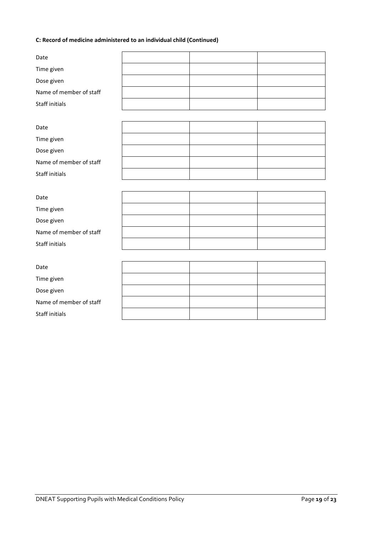#### **C: Record of medicine administered to an individual child (Continued)**

| Date                    |  |  |
|-------------------------|--|--|
| Time given              |  |  |
| Dose given              |  |  |
| Name of member of staff |  |  |
| Staff initials          |  |  |
|                         |  |  |
| Date                    |  |  |
| Time given              |  |  |
| Dose given              |  |  |
| Name of member of staff |  |  |
| <b>Staff initials</b>   |  |  |
|                         |  |  |
| Date                    |  |  |
| Time given              |  |  |
| Dose given              |  |  |
| Name of member of staff |  |  |
| <b>Staff initials</b>   |  |  |
|                         |  |  |
| Date                    |  |  |
| Time given              |  |  |
| Dose given              |  |  |
| Name of member of staff |  |  |
| <b>Staff initials</b>   |  |  |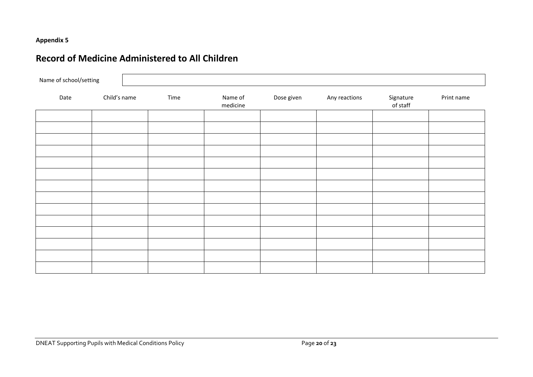## **Record of Medicine Administered to All Children**

| Name of school/setting |              |      |                     |            |               |                       |            |
|------------------------|--------------|------|---------------------|------------|---------------|-----------------------|------------|
| Date                   | Child's name | Time | Name of<br>medicine | Dose given | Any reactions | Signature<br>of staff | Print name |
|                        |              |      |                     |            |               |                       |            |
|                        |              |      |                     |            |               |                       |            |
|                        |              |      |                     |            |               |                       |            |
|                        |              |      |                     |            |               |                       |            |
|                        |              |      |                     |            |               |                       |            |
|                        |              |      |                     |            |               |                       |            |
|                        |              |      |                     |            |               |                       |            |
|                        |              |      |                     |            |               |                       |            |
|                        |              |      |                     |            |               |                       |            |
|                        |              |      |                     |            |               |                       |            |
|                        |              |      |                     |            |               |                       |            |
|                        |              |      |                     |            |               |                       |            |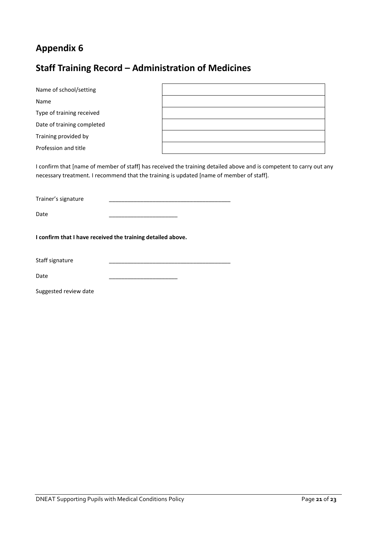## **Staff Training Record – Administration of Medicines**

| Name of school/setting                                                                   |  |                                                                                                                     |  |
|------------------------------------------------------------------------------------------|--|---------------------------------------------------------------------------------------------------------------------|--|
| Name                                                                                     |  |                                                                                                                     |  |
| Type of training received                                                                |  |                                                                                                                     |  |
| Date of training completed                                                               |  |                                                                                                                     |  |
| Training provided by                                                                     |  |                                                                                                                     |  |
| Profession and title                                                                     |  |                                                                                                                     |  |
| necessary treatment. I recommend that the training is updated [name of member of staff]. |  | I confirm that [name of member of staff] has received the training detailed above and is competent to carry out any |  |
| Trainer's signature                                                                      |  |                                                                                                                     |  |
| Date                                                                                     |  |                                                                                                                     |  |
| I confirm that I have received the training detailed above.                              |  |                                                                                                                     |  |
| Staff signature                                                                          |  |                                                                                                                     |  |
| Date                                                                                     |  |                                                                                                                     |  |
| Suggested review date                                                                    |  |                                                                                                                     |  |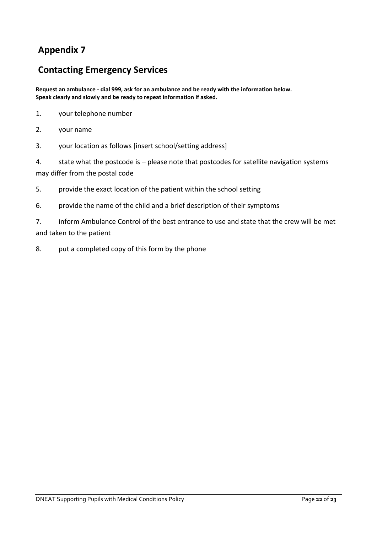## **Contacting Emergency Services**

**Request an ambulance - dial 999, ask for an ambulance and be ready with the information below. Speak clearly and slowly and be ready to repeat information if asked.**

- 1. your telephone number
- 2. your name
- 3. your location as follows [insert school/setting address]

4. state what the postcode is – please note that postcodes for satellite navigation systems may differ from the postal code

- 5. provide the exact location of the patient within the school setting
- 6. provide the name of the child and a brief description of their symptoms

7. inform Ambulance Control of the best entrance to use and state that the crew will be met and taken to the patient

8. put a completed copy of this form by the phone